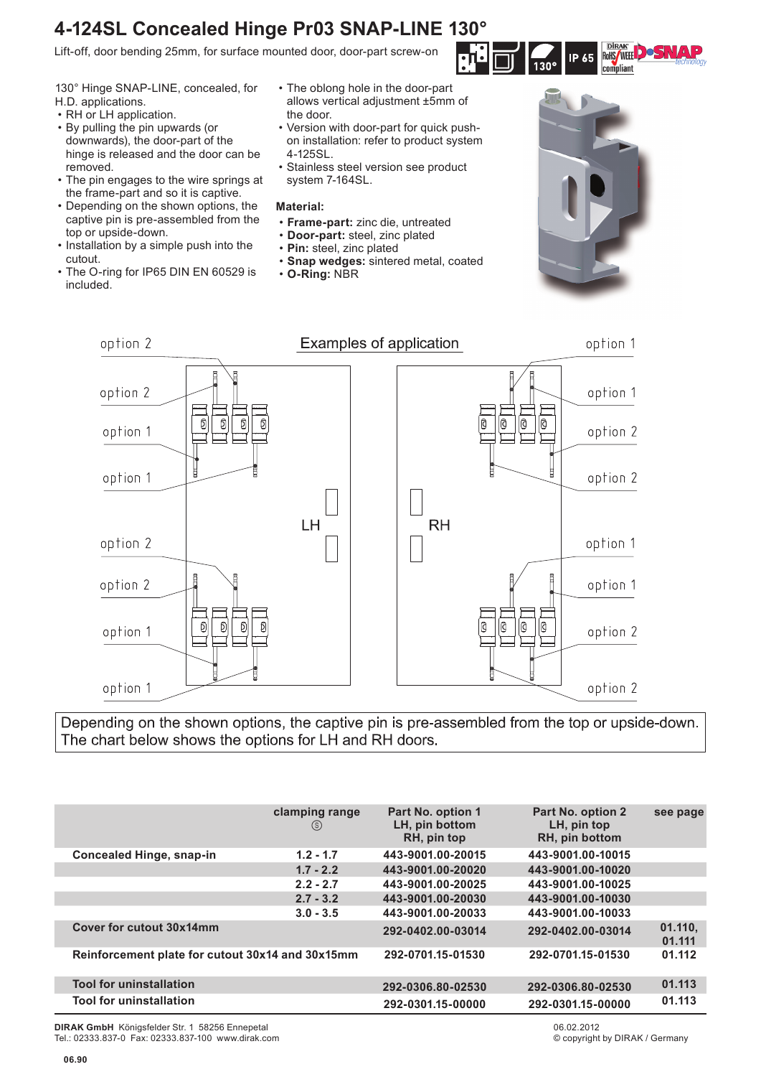## **4-124SL Concealed Hinge Pr03 SNAP-LINE 130°**

Lift-off, door bending 25mm, for surface mounted door, door-part screw-on

130° Hinge SNAP-LINE, concealed, for H.D. applications.

- RH or LH application.
- By pulling the pin upwards (or downwards), the door-part of the hinge is released and the door can be removed.
- The pin engages to the wire springs at the frame-part and so it is captive.
- Depending on the shown options, the captive pin is pre-assembled from the top or upside-down.
- Installation by a simple push into the cutout.
- The O-ring for IP65 DIN EN 60529 is included.
- The oblong hole in the door-part allows vertical adjustment ±5mm of the door.
- Version with door-part for quick pushon installation: refer to product system 4-125SL.
- Stainless steel version see product system 7-164SL.

## **Material:**

- **Frame-part:** zinc die, untreated
- **Door-part:** steel, zinc plated
- **Pin:** steel, zinc plated
- **Snap wedges:** sintered metal, coated
	- **O-Ring:** NBR







Depending on the shown options, the captive pin is pre-assembled from the top or upside-down. The chart below shows the options for LH and RH doors.

|                                                  | clamping range<br>(s) | Part No. option 1<br>LH, pin bottom<br>RH, pin top | Part No. option 2<br>LH, pin top<br>RH, pin bottom | see page          |
|--------------------------------------------------|-----------------------|----------------------------------------------------|----------------------------------------------------|-------------------|
| <b>Concealed Hinge, snap-in</b>                  | $1.2 - 1.7$           | 443-9001.00-20015                                  | 443-9001.00-10015                                  |                   |
|                                                  | $1.7 - 2.2$           | 443-9001.00-20020                                  | 443-9001.00-10020                                  |                   |
|                                                  | $2.2 - 2.7$           | 443-9001.00-20025                                  | 443-9001.00-10025                                  |                   |
|                                                  | $2.7 - 3.2$           | 443-9001.00-20030                                  | 443-9001.00-10030                                  |                   |
|                                                  | $3.0 - 3.5$           | 443-9001.00-20033                                  | 443-9001.00-10033                                  |                   |
| Cover for cutout 30x14mm                         |                       | 292-0402.00-03014                                  | 292-0402.00-03014                                  | 01.110,<br>01.111 |
| Reinforcement plate for cutout 30x14 and 30x15mm |                       | 292-0701.15-01530                                  | 292-0701.15-01530                                  | 01.112            |
| <b>Tool for uninstallation</b>                   |                       | 292-0306.80-02530                                  | 292-0306.80-02530                                  | 01.113            |
| <b>Tool for uninstallation</b>                   |                       | 292-0301.15-00000                                  | 292-0301.15-00000                                  | 01.113            |

**DIRAK GmbH** Königsfelder Str. 1 58256 Ennepetal Tel.: 02333.837-0 Fax: 02333.837-100 www.dirak.com